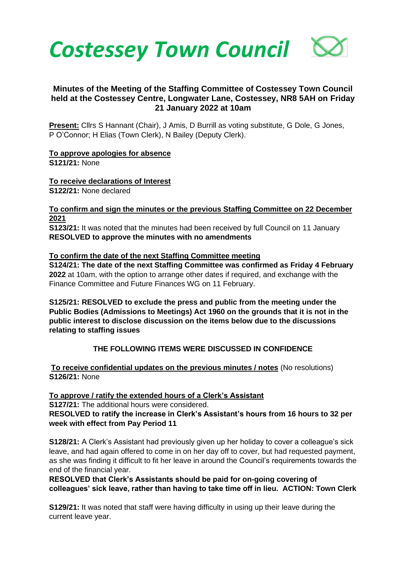

## **Minutes of the Meeting of the Staffing Committee of Costessey Town Council held at the Costessey Centre, Longwater Lane, Costessey, NR8 5AH on Friday 21 January 2022 at 10am**

**Present:** Cllrs S Hannant (Chair), J Amis, D Burrill as voting substitute, G Dole, G Jones, P O'Connor; H Elias (Town Clerk), N Bailey (Deputy Clerk).

**To approve apologies for absence S121/21:** None

**To receive declarations of Interest S122/21:** None declared

**To confirm and sign the minutes or the previous Staffing Committee on 22 December 2021**

**S123/21:** It was noted that the minutes had been received by full Council on 11 January **RESOLVED to approve the minutes with no amendments**

**To confirm the date of the next Staffing Committee meeting S124/21: The date of the next Staffing Committee was confirmed as Friday 4 February 2022** at 10am, with the option to arrange other dates if required, and exchange with the

Finance Committee and Future Finances WG on 11 February.

**S125/21: RESOLVED to exclude the press and public from the meeting under the Public Bodies (Admissions to Meetings) Act 1960 on the grounds that it is not in the public interest to disclose discussion on the items below due to the discussions relating to staffing issues**

## **THE FOLLOWING ITEMS WERE DISCUSSED IN CONFIDENCE**

**To receive confidential updates on the previous minutes / notes** (No resolutions) **S126/21:** None

**To approve / ratify the extended hours of a Clerk's Assistant S127/21:** The additional hours were considered. **RESOLVED to ratify the increase in Clerk's Assistant's hours from 16 hours to 32 per week with effect from Pay Period 11**

**S128/21:** A Clerk's Assistant had previously given up her holiday to cover a colleague's sick leave, and had again offered to come in on her day off to cover, but had requested payment, as she was finding it difficult to fit her leave in around the Council's requirements towards the end of the financial year.

**RESOLVED that Clerk's Assistants should be paid for on-going covering of colleagues' sick leave, rather than having to take time off in lieu. ACTION: Town Clerk**

**S129/21:** It was noted that staff were having difficulty in using up their leave during the current leave year.